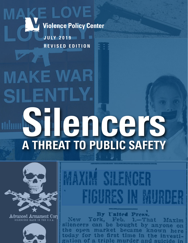**Violence Policy Center** 

J U LY 2 0 1 9 REVISED EDITION

Advanced Armament Corr

SILENCERS MADE IN THE U.S.A

E LOVE

# **MAKE WAR SILENTLY.** Silencers A THREAT TO PUBLIC SAFETY



By United Press. York, Feb. 1.-That Maxim silencers can be bought by anyone on the open market became known here today for the first time in the investiation of a triple murder and suicide in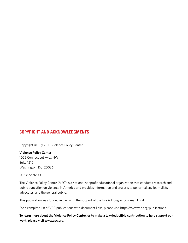#### COPYRIGHT AND ACKNOWLEDGMENTS

Copyright © July 2019 Violence Policy Center

**Violence Policy Center** 1025 Connecticut Ave., NW Suite 1210 Washington, DC 20036

#### 202-822-8200

The Violence Policy Center (VPC) is a national nonprofit educational organization that conducts research and public education on violence in America and provides information and analysis to policymakers, journalists, advocates, and the general public.

This publication was funded in part with the support of the Lisa & Douglas Goldman Fund.

For a complete list of VPC publications with document links, please visit http://www.vpc.org/publications.

**To learn more about the Violence Policy Center, or to make a tax-deductible contribution to help support our work, please visit www.vpc.org.**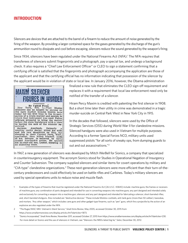#### INTRODUCTION

Silencers are devices that are attached to the barrel of a firearm to reduce the amount of noise generated by the firing of the weapon. By providing a larger contained space for the gases generated by the discharge of the gun's ammunition round to dissipate and cool before escaping, silencers reduce the sound generated by the weapon's firing.

Since 1934, silencers have been regulated under the National Firearms Act (NFA).<sup>1</sup> The NFA requires that transferees of silencers submit fingerprints and a photograph, pay a special tax, and undergo a background check. It also requires a "Chief Law Enforcement Officer" or CLEO to sign a statement confirming that a certifying official is satisfied that the fingerprints and photograph accompanying the application are those of the applicant and that the certifying official has no information indicating that possession of the silencer by the applicant would be in violation of state or local law. In January 2016, however, the Obama administration



finalized a new rule that eliminates the CLEO sign-off requirement and replaces it with a requirement that local law enforcement need only be notified of the transfer of a silencer.

Hiram Percy Maxim is credited with patenting the first silencer in 1908. But a short time later their utility in crime was demonstrated in a tragic murder-suicide on Central Park West in New York City in 1915.

In the decades that followed, silencers were used by the Office of Strategic Services (OSS) during World War II for clandestine missions. Silenced handguns were also used in Vietnam for multiple purposes. According to a former Special Forces NCO, military units used suppressed pistols "for all sorts of sneaky ops, from dumping guards to out and out assassinations."<sup>2</sup>

In 1967, a new generation of silencers was developed by Mitch WerBell for Sionics, a company that specialized in counterinsurgency equipment. The acronym Sionics stood for Studies in Operational Negation of Insurgency and Counter Subversion. The company supplied silencers and similar items for covert operations by military and "CIA-type" clandestine organizations.<sup>3</sup> These next-generation silencers were more efficient than their turn-of-thecentury predecessors and could effectively be used on battle rifles and Carbines. Today's military silencers are used by special operations units to reduce noise and muzzle flash.

- 1 Examples of the types of firearms that must be registered under the National Firearms Act [26 U.S.C. §5845] include: machine guns; the frames or receivers of machine guns; any combination of parts designed and intended for use in converting weapons into machine guns; any part designed and intended solely and exclusively for converting a weapon into a machine gun; silencers and any part designed and intended for fabricating a silencer; short-barreled rifles; and, short-barreled shotguns. Also included are "destructive devices." These include Molotov cocktails, anti-tank guns (more than 50 caliber), bazookas, and mortars. "Any other weapon," which includes cane guns and other gadget-type firearms, such as "pen" guns, which fire a projectile by the action of an explosive are also regulated under the NFA.
- 2 "The Ruger/MAC MKI: Vietnam's Silent Service," *Small Arms Review*, May 2005, accessed October 30, 2015 from https://www.smallarmsreview.com/display.article.cfm?idarticles=1873.
- 3 "Sionics Incorporated," *Small Arms Review*, November 2011, accessed October 27, 2015 from https://www.smallarmsreview.com/display.articlecfm?idarticles=230. For more detail on Sionics and the use of silencers in Vietnam, see "Silencers: the NRA's latest big lie," *Salon*, December 30, 2012.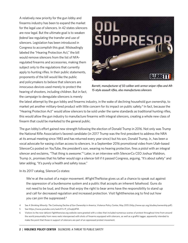A relatively new priority for the gun lobby and firearms industry has been to expand the market for the legal use of silencers. In 42 states silencers are now legal. But the ultimate goal is to weaken *federal* law regulating the transfer and use of silencers. Legislation has been introduced in Congress to accomplish this goal. Misleadingly labeled the "Hearing Protection Act," the bill would remove silencers from the list of NFAregulated firearms and accessories, making them subject only to the regulations that currently apply to hunting rifles. In their public statements, proponents of the bill would like the public and policymakers to believe that silencers are innocuous devices used merely to protect the hearing of shooters, including children. But in fact, the campaign to deregulate silencers is merely



*Barrett, manufacturer of 50 caliber anti-armor sniper rifles and AR-15-style assault rifles, also manufactures silencers*

the latest attempt by the gun lobby and firearms industry, in the wake of declining household gun ownership, to market yet another military-bred product with little concern for its impact on public safety.<sup>4</sup> In fact, because the "Hearing Protection Act" would allow silencers to be sold under the same standards as traditional hunting rifles, this would allow the gun industry to manufacture firearms with integral silencers, creating a whole new class of firearm that could be marketed to the general public.

The gun lobby's effort gained new strength following the election of Donald Trump in 2016. Not only was Trump the National Rifle Association's favored candidate (in 2017 Trump was the first president to address the NRA at its annual meeting since 1983 and has returned every year since) but his son, Donald Trump, Jr., has been a vocal advocate for easing civilian access to silencers. In a September 2016 promotional video from Utah-based SilencerCo posted on YouTube, the president's son, wearing no hearing protection, fires a pistol with an integral silencer and exclaims, "That thing is *awesome*."5 Later, in an interview with SilencerCo CEO Joshua Waldron, Trump Jr., promises that his father would sign a silencer bill if it passed Congress, arguing, "It's about safety" and later adding, "It's purely a health and safety issue."

In its 2017 catalog, SilencerCo states:

We're at the outset of a major movement. #FightTheNoise gives us all a chance to speak out against the oppression of a burdensome system and a public that accepts an inherent falsehood. Guns do not need to be loud, and those that enjoy the right to bear arms have the responsibility to stand up and call for decreased regulation and increased protection. Visit fightthenoise.org to find out how you can join the suppressed.<sup>6</sup>

- 4 See *A Shrinking Minority: The Continuing Decline of Gun Ownership in America*, Violence Policy Center, May 2015 (http://www.vpc.org/studies/ownership.pdf).
- 5 See https://www.youtube.com/watch?v=P\_LOxq6j4FM.
- 6 Visitors to the now-defunct fightthenoise.org website were greeted with a video that included numerous scenes of protest throughout time from around the world presumably from news reels interspersed with shots of firearms equipped with silencers, as well as a graffiti tagger, apparently intended to make the point that those in support of silencers are part of an oppressed protest movement.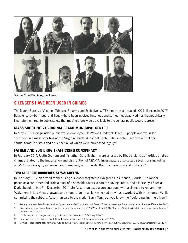

*SilencerCo 2015 catalog, back cover*

#### SILENCERS HAVE BEEN USED IN CRIMES

The federal Bureau of Alcohol, Tobacco, Firearms and Explosives (ATF) reports that it traced 1,004 silencers in 2017.<sup>7</sup> But silencers—both legal and illegal—have been involved in serious and sometimes deadly crimes that graphically illustrate the threat to public safety that making them widely available to the general public would represent.

#### MASS SHOOTING AT VIRGINIA BEACH MUNICIPAL CENTER

In May 2019, a disgruntled public works employee, DeWayne Craddock, killed 12 people and wounded six others in a mass shooting at the Virginia Beach Municipal Center. The shooter used two 45 caliber semiautomatic pistols and a silencer, all of which were purchased legally.<sup>8</sup>

#### FATHER AND SON DRUG TRAFFICKING CONSPIRACY

In February 2017, Justin Graham and his father Gary Graham were arrested by Rhode Island authorities on drug charges related to the importation and distribution of MDMA. Investigators also seized seven guns including an M-4 machine gun, a silencer, and three body armor vests. Both had prior criminal histories.<sup>9</sup>

#### TWO SEPARATE ROBBERIES AT WALGREENS

In February 2017, an armed robber using a silencer targeted a Walgreens in Orlando, Florida. The robber posed as a customer and stole a pack of disposable razors, a can of shaving cream, and a Hershey's Special Dark chocolate bar.<sup>10</sup> In December 2014, Jin Ackerman used a gun equipped with a silencer to rob another Walgreens in Las Vegas, Nevada and shoot to death a clerk who had previously worked with the shooter. While committing the robbery, Ackerman said to the clerk, "Sorry Tony, but you know me," before pulling the trigger.<sup>11</sup>

- 10 "Man uses gun with 'silencer' to rob Orlando store, police say," *clickorlando.com*, February 21, 2017.
- 11 "Armed robber shoots dead former co-worker during Walgreens robbery telling him, 'Sorry Tony, but you know me,'" *DailyMail.com*, December 30, 2014.

<sup>7</sup> See https://www.atf.gov/docs/undefined/typesbystatecy2017xlsx/download, Firearm Types Recovered and Traced in the United States and Territories, 2017.

<sup>8</sup> "Suspected Virginia Beach shooter used legally-bought gun suppressor," *ABC News,* June 4, 2019; "Gunman, 12 victims identified in Virginia Beach shooting," *CBS News*, June 1, 2019.

<sup>9</sup> "R.I. father and son charged with drug trafficking," *Providence Journal*, February 9, 2017.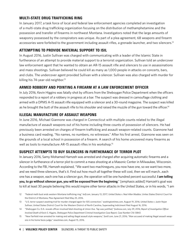#### MULTI-STATE DRUG TRAFFICKING RING

In January 2017, a task force of local and federal law enforcement agencies completed an investigation of a multi-state drug trafficking organization focusing on the distribution of methamphetamine and the possession and transfer of firearms in northwest Montana. Investigators noted that the large amounts of weaponry possessed by the conspirators was unique. As part of a plea agreement, 68 weapons and firearm accessories were forfeited to the government including assault rifles, a grenade launcher, and two silencers.<sup>12</sup>

#### ATTEMPTING TO PROVIDE MATERIAL SUPPORT TO ISIL

In August 2016, Justin Sullivan was charged with communicating with a leader of the Islamic State in furtherance of an attempt to provide material support to a terrorist organization. Sullivan told an undercover law enforcement agent that he wanted to obtain an AR-15 assault rifle and silencers to use in assassinations and mass shootings. Sullivan believed he could kill as many as 1,000 people in attacks on concerts, bars, and clubs. The undercover agent provided Sullivan with a silencer. Sullivan was also charged with murder for killing his  $74$ -year-old neighbor.<sup>13</sup>

#### ARMED ROBBERY AND POINTING A FIREARM AT A LAW ENFORCEMENT OFFICER

In July 2016, Kevin Higgins was fatally shot by officers from the Sheboygan Police Department when the officers responded to a report of a robbery in progress at a bar. The suspect was dressed in camouflage clothing and armed with a DPMS A-15 assault rifle equipped with a silencer and a 30-round magazine. The suspect was killed as he brought the butt of the assault rifle to his shoulder and raised the muzzle of the gun toward the officer.<sup>14</sup>

#### ILLEGAL MANUFACTURE OF ASSAULT WEAPONS

In June 2016, Michael Giannone was charged in Connecticut with multiple counts related to the illegal manufacture of assault weapons out of his home including three counts of possession of silencers. He had previously been arrested on charges of firearm trafficking and assault weapon-related counts. Giannone had a business card reading, "No names, no numbers, no witnesses." After his first arrest, Giannone was seen on the grounds of a local school in possession of a firearm. A search of his home uncovered many firearms as well as tools to manufacture AR-15 assault rifles in his workshop.<sup>15</sup>

#### SUSPECT ATTEMPTS TO BUY SILENCERS IN FURTHERANCE OF TERROR PLOT

In January 2016, Samy Mohamed Hamzeh was arrested and charged after acquiring automatic firearms and a silencer in furtherance of a terror plot to commit a mass shooting at a Masonic Center in Milwaukee, Wisconsin. According to the FBI, Hamzeh explained, "We want two machineguns, you now have one, so we want two more, and we need three silencers, that's it. Find out how much all together these will cost, then we will march...each one has a weapon, each one has a silencer gun, the operation will be one hundred percent successful. **I am telling you, to go without silencer gun, you will be exposed from the beginning**." [emphasis added] Hamzeh's goal was to kill at least 30 people believing this would inspire other terror attacks in the United States, or in his words, "I am

- 12 "Federal meth bust ends western Montana trafficking ring," *kxlf.com*, January 13, 2017; *United States v. Neal Allen Maddox,* Unites States District Court for the District of Montana, Plea Agreement filed May 25, 2016.
- 13 "U.S. terror suspect awaiting trial for murder charged again for ISIS connection," *washingtontimes.com*, August 19, 2016; *United States v. Justin Nojan Sullivan*, United States District Court for the Western District of North Carolina, Superseding Indictment filed August 16, 2016.
- 14 "Sheboygan Co. D.A. reveals officer-involved fatal shooting at Union Ave. Tap was justified," *fox6now.com*, July 29, 2016; *Report of Investigation Officer Involved Death of Kevin S. Higgins, Sheboygan Police Department Criminal Investigation Case Report, Case Number C16-13843*.
- 15 "New Fairfield man arrested for making and selling illegal assault style weapons," *fox61.com*, June 21, 2016; "Man accused of making illegal assault weapons in his home faces judge," *newstimes.com*, August 15, 2016.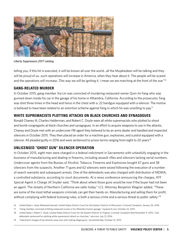

*Liberty Suppressors 2017 catalog*

telling you, if this hit is executed, it will be known all over the world...all the Mujahedeen will be talking and they will be proud of us...such operations will increase in America, when they hear about it. The people will be scared and the operations will increase...This way we will be igniting it. I mean we are marching at the front of the war."<sup>16</sup>

#### GANG-RELATED MURDER

In October 2015, gang member Xia Lin was convicted of murdering restaurant owner Quin-Jin Fang who was gunned down inside his car in the garage of his home in Alhambra, California. According to the prosecutor, Fang was shot three times in the head and twice in the chest with a .22 handgun equipped with a silencer. The motive is believed to have been related to an extortion scheme against Fang in which he was unwilling to pay.<sup>17</sup>

#### WHITE SUPREMACISTS PLOTTING ATTACKS ON BLACK CHURCHES AND SYNAGOGUES

Ronald Chaney III, Charles Halderman, and Robert C. Doyle were all white supremacists who plotted to shoot and bomb congregants at black churches and synagogues. In an effort to acquire weapons to use in the attacks, Chaney and Doyle met with an undercover FBI agent they believed to be an arms dealer and handled and inspected silencers in October 2015. They then placed an order for a machine gun, explosives, and a pistol equipped with a silencer. All pleaded guilty in 2016 and were sentenced to prison terms ranging from eight to 20 years.<sup>18</sup>

#### UNLICENSED "GHOST GUN" SILENCER OPERATION

In October 2015, eight men were charged in a federal indictment in Sacramento with unlawfully engaging in the business of manufacturing and dealing in firearms, including assault rifles and silencers lacking serial numbers. Undercover agents from the Bureau of Alcohol, Tobacco, Firearms and Explosives bought 67 guns and 38 silencers from the suspects. Another 71 guns and 62 silencers were seized following the execution of a number of search warrants and subsequent arrests. One of the defendants was also charged with distribution of MDMA, a controlled substance, according to court documents. At a news conference announcing the charges, ATF Special Agent in Charge Jill Snyder said, "Think about where those guns would be now if the buyer had not been an agent. The streets of Northern California are safer today." U.S. Attorney Benjamin Wagner added, "These are some of the most lethal weapons criminals can get their hands on. Manufacturing and selling them for profit, without complying with federal licensing rules, is both a serious crime and a serious threat to public safety."<sup>19</sup>

19 "Indictment charges 8 Sacramento-area men with making illegal guns," *Sacramento Bee*, October 15, 2015.

<sup>16</sup> *United States v. Samy Mohamed Hamzeh*, United States District Court for the Eastern District of Wisconsin, Criminal Complaint, January 26, 2016.

<sup>17</sup> "Gang member convicted of killing restaurant owner in his Alhambra home's garage," *mynewsLA.com*, October 22, 2015.

<sup>18</sup> *United States v. Robert C. Doyle*, United States District Court for the Eastern District of Virginia, Criminal Complaint filed November 9, 2015; "Last defendant sentenced for plotting white supremacist attack on churches," *wtvr.com*, July 13, 2016.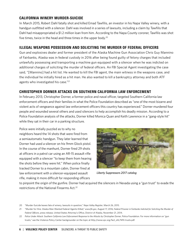#### CALIFORNIA WINERY MURDER-SUICIDE

In March 2015, Robert Dahl fatally shot and killed Emad Tawfilis, an investor in his Napa Valley winery, with a handgun outfitted with a silencer. Dahl was involved in a series of lawsuits, including a claim by Tawfilis that Dahl had misappropriated a \$1.2 million loan from him. According to the Napa County coroner, Tawfilis was shot five times, twice in the head and three times in the upper body.20

#### ILLEGAL WEAPONS POSSESSION AND SOLICITING THE MURDER OF FEDERAL OFFICERS

Gun and explosives dealer and former president of the Alaska Machine Gun Association Chris Guy Mannino of Fairbanks, Alaska was in federal custody in 2016 after being found guilty of felony charges that included unlawfully possessing and transporting a machine gun equipped with a silencer when he was indicted on additional charges of soliciting the murder of federal officers. An FBI Special Agent investigating the case said, "[Mannino] had a hit list. He wanted to kill the FBI agent, the main witness in the weapons case, and the individual he initially hired as a hit man. He also wanted to kill a bankruptcy attorney and both ATF agents who investigated his case."21

#### CHRISTOPHER DORNER ATTACKS ON SOUTHERN CALIFORNIA LAW ENFORCEMENT

In February 2013, Christopher Dorner, a former police and naval officer, targeted Southern California law enforcement officers and their families in what the Police Foundation described as "one of the most bizarre and violent acts of vengeance against law enforcement officers this country has experienced." Dorner murdered four people and wounded several others and used silencers to help accomplish his deadly mission. According to a Police Foundation analysis of the attacks, Dorner killed Monica Quan and Keith Lawrence in a "gang-style hit" while they sat in their car in a parking structure.

Police were initially puzzled as to why no neighbors heard the 14 shots that were fired from a semiautomatic handgun. They later learned that Dorner had used a silencer on his 9mm Glock pistol. In the course of the manhunt, Dorner fired 29 shots at officers in a patrol car using an AR-15 assault rifle equipped with a silencer "to keep them from hearing the shots before they were hit." When police finally tracked Dorner to a mountain cabin, Dorner fired at law enforcement with a silencer-equipped assault rifle, making it more difficult for responding officers



*Liberty Suppressors 2017 catalog*

to pinpoint the origin of the gunfire. Dorner had acquired the silencers in Nevada using a "gun trust" to evade the restrictions of the National Firearms Act.22

<sup>20</sup> "Murder-Suicide leaves fate of winery, lawsuits in question," *Napa Valley Register*, March 26, 2015.

<sup>21</sup> "Murder for Hire: Alaska Man Wanted Federal Agents Killed," *www.fbi.gov*, August 17, 2016; *Federal Prisoner in Fairbanks Indicted for Soliciting the Murder of Federal Officers*, press release, United States Attorney's Office, District of Alaska, November 21, 2014.

<sup>22</sup> *Police Under Attack: Southern California Law Enforcement Response to the Attacks by Christopher Dorner*, Police Foundation. For more information on "gun trusts," see the Violence Policy Center backgrounder on the topic at http://www.vpc.org/fact\_sht/NFA trusts.pdf.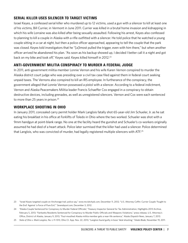#### SERIAL KILLER USES SILENCER TO TARGET VICTIMS

Israel Keyes, a confessed serial killer who murdered up to 12 victims, used a gun with a silencer to kill at least one of his victims, Bill Currier, in Vermont in June 2011. Currier was killed in a brutal home invasion and kidnapping in which his wife Lorraine was also killed after being sexually assaulted. Following his arrest, Keyes also confessed to planning to kill a couple in Alaska with a rifle outfitted with a silencer. He told police that he watched a young couple sitting in a car at night, but then a police officer approached, appearing to tell the couple that the park was closed. Keyes told investigators that he "[a]lmost pulled the trigger, even with him there," but when another officer arrived he abandoned his plan. "As soon as his backup showed up, I decided I better call it a night and got back on my bike and took off," Keyes said. Keyes killed himself in 2012.<sup>23</sup>

#### ANTI-GOVERNMENT MILITIA CONSPIRACY TO MURDER A FEDERAL JUDGE

In 2011, anti-government militia member Lonnie Vernon and his wife Karen Vernon conspired to murder the Alaska district court judge who was presiding over a civil tax case filed against them in federal court seeking unpaid taxes. The Vernons also conspired to kill an IRS employee. In furtherance of the conspiracy, the government alleged that Lonnie Vernon possessed a pistol with a silencer. According to a federal indictment, Vernon and Alaska Peacemakers Militia leader Francis Schaeffer Cox engaged in a conspiracy to obtain destructive devices, including grenades, as well as unregistered silencers. Vernon and Cox were each sentenced to more than 25 years in prison.<sup>24</sup>

#### WORKPLACE SHOOTING IN OHIO

In January 2011, concealed carry permit holder Mark Langlois fatally shot 65-year-old Jim Schueler, Jr. as he sat eating his breakfast in his office at Forklifts of Toledo in Ohio where the two worked. Schueler was shot with a 9mm handgun at point-blank range. No one at the facility heard the gunshot and Schueler's co-workers originally assumed he had died of a heart attack. Police later surmised that the killer had used a silencer. Police determined that Langlois, who was convicted of murder, had legally registered multiple silencers with ATF.<sup>25</sup>

23 "Israel Keyes targeted couple on Anchorage trail, police say," *www.mcclatchydc.com*, December 11, 2012; "U.S. Attorney Coffin: Currier Couple 'Fought to the End' Against 'a Force of Pure Evil,'" *Sevendaysvt.com*, December 3, 2012.

24 "Alaska Couple Sentenced for Conspiracy to Murder Federal Officials," Treasury Inspector General for Tax Administration, Highlights 2013 Archive, February 5, 2013; "Fairbanks Residents Sentenced for Conspiracy to Murder Public Officials and Weapons Violations," press release, U.S. Attorney's Office, District of Alaska, January 9, 2013; "Foul-mouthed Alaska militia member gets a near-life sentence," *Alaska Dispatch News*, January 7, 2013.

25 *State of Ohio v. Mark Langlois*, No. L-11-1313, Ohio Ct. App. Nov. 22, 2013; "Langlois found guilty in boss' fatal shooting," *Toledo Blade*, November 19, 2011.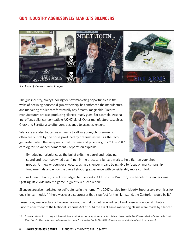#### GUN INDUSTRY AGGRESSIVELY MARKETS SILENCERS



*A collage of silencer catalog images*

The gun industry, always looking for new marketing opportunities in the wake of declining household gun ownership, has embraced the manufacture and marketing of silencers for virtually any firearm imaginable. Firearm manufacturers are also producing silencer-ready guns. For example, Arsenal, Inc. offers a silencer-compatible AK-47 pistol. Other manufacturers, such as Glock and Beretta, also offer guns designed to accept silencers.

Silencers are also touted as a means to allow young children—who often are put off by the noise produced by firearms as well as the recoil generated when the weapon is fired—to use and possess guns.<sup>26</sup> The 2017 catalog for Advanced Armament Corporation explains:



By reducing turbulence as the bullet exits the barrel and reducing sound and recoil-spawned user flinch in the process, silencers work to help tighten your shot groups. For new or younger shooters, using a silencer means being able to focus on marksmanship fundamentals and enjoy the overall shooting experience with considerably more comfort.

And as Donald Trump, Jr. acknowledged to SilencerCo CEO Joshua Waldron, one benefit of silencers was "getting little kids into the game, it greatly reduces recoil."

Silencers are also marketed for self-defense in the home. The 2017 catalog from Liberty Suppressors promises for one silencer model, "If there was ever a suppressor that is perfect for the nightstand, the Centurion would be it."

Present day manufacturers, however, are not the first to tout reduced recoil and noise as silencer attributes. Prior to enactment of the National Firearms Act of 1934 the exact same marketing claims were made by silencer

<sup>26</sup> For more information on the gun lobby and firearm industry's marketing of weapons for children, please see the 2016 Violence Policy Center study *"Start Them Young"—How the Firearms Industry and Gun Lobby Are Targeting Your Children* (http://www.vpc.org/publications/start-them-young/).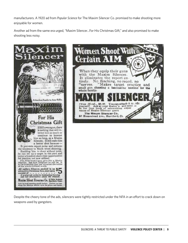manufacturers. A 1920 ad from *Popular Science* for The Maxim Silencer Co. promised to make shooting more enjoyable for women.

Another ad from the same era urged, "Maxim Silencer…For His Christmas Gift," and also promised to make shooting less noisy.





Despite the cheery tone of the ads, silencers were tightly restricted under the NFA in an effort to crack down on weapons used by gangsters.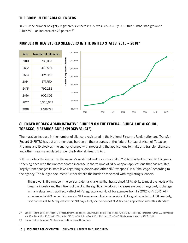#### THE BOOM IN FIREARM SILENCERS

In 2010 the number of legally registered silencers in U.S. was 285,087. By 2018 this number had grown to 1,489,791—an increase of 423 percent.<sup>27</sup>



#### NUMBER OF REGISTERED SILENCERS IN THE UNITED STATES, 2010 – 2018<sup>28</sup>

#### SILENCER BOOM'S ADMINISTRATIVE BURDEN ON THE FEDERAL BUREAU OF ALCOHOL, TOBACCO, FIREARMS AND EXPLOSIVES (ATF)

The massive increase in the number of silencers registered in the National Firearms Registration and Transfer Record (NFRTR) has put a tremendous burden on the resources of the federal Bureau of Alcohol, Tobacco, Firearms and Explosives, the agency charged with processing the applications to make and transfer silencers and other firearms regulated under the National Firearms Act.

ATF describes the impact on the agency's workload and resources in its FY 2020 budget request to Congress. "Keeping pace with the unprecedented increase in the volume of NFA weapon applications that has resulted largely from changes in state laws regarding silencers and other NFA weapons" is a "challenge," according to the agency. The budget document further details the burden associated with regulating silencers:

The growth in firearms commerce is an external challenge that has strained ATF's ability to meet the needs of the firearms industry and the citizens of the U.S. The significant workload increases are due, in large part, to changes in many state laws that directly affect ATF's regulatory workload. For example, from FY 2012 to FY 2016, ATF experienced a 260 percent increase in NFA weapon applications receipts. ATF's goal, reported to DOJ quarterly, is to process all NFA requests within 90 days. Only 2.6 percent of NFA tax paid applications met this standard

<sup>27</sup> Source: Federal Bureau of Alcohol, Tobacco, Firearms and Explosives. Includes all states as well as "Other U.S. Territories." Totals for "Other U.S. Territories" are: 18 in 2018; 18 in 2017; 18 in 2016; 18 in 2015; 16 in 2014; 16 in 2013; 16 in 2012; and, 15 in 2010. No data was posted by ATF for 2011.

<sup>28</sup> Source: Federal Bureau of Alcohol, Tobacco, Firearms and Explosives.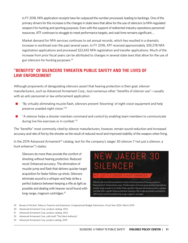in FY 2018. NFA application receipts have far outpaced the number processed, leading to backlogs. One of the primary drivers for this increase is the changes in state laws that allow for the use of silencers (a NFA-regulated weapon) for hunting and sporting purposes. Even with the support of redirected industry operations personnel resources, ATF continues to struggle to meet performance targets, and wait time remains significant….

Market demand for NFA services continues to set annual records, which has resulted in a dramatic increase in workload over the past several years. In FY 2018, ATF received approximately 339,278 NFA registration applications and processed 322,692 NFA registration and transfer applications. Much of the increase from prior fiscal years can be attributed to changes in several state laws that allow for the use of gun silencers for hunting purposes.29

#### "BENEFITS" OF SILENCERS THREATEN PUBLIC SAFETY AND THE LIVES OF LAW ENFORCEMENT

Although proponents of deregulating silencers assert that hearing protection is their goal, silencer manufacturers, such as Advanced Armament Corp., tout numerous other "benefits of silencer use"—usually with an anti-personnel or law enforcement application:

- n "By virtually eliminating muzzle flash, silencers prevent 'blooming' of night vision equipment and help preserve unaided night vision."30
- TA silencer helps a shooter maintain command and control by enabling team members to communicate during live fire exercises or in combat."31

The "benefits" most commonly cited by silencer manufacturers, however, remain sound reduction and increased accuracy and rate of fire by the shooter as the result of reduced recoil and improved stability of the weapon when firing.

In the 2019 Advanced Armament<sup>32</sup> catalog, text for the company's Jaeger 30 silencer ("not just a silencer, a hunt enhancer") states:

Silencers do more than provide the comfort of shooting without hearing protection. Reduced recoil. Enhanced accuracy. The elimination of muzzle-jump and flash that delivers quicker target acquisition for faster follow-up shots. Silencers eliminate sound to a whisper and help strike a perfect balance between keeping a rifle as light as possible and dealing with heavier recoil found with long-range, magnum cartridges.<sup>33</sup>



- 29 Bureau of Alcohol, Tobacco, Firearms and Explosives, Congressional Budget Submission, Fiscal Year 2020, March 2019.
- 30 Advanced Armament Corp. product catalog, 2013.
- 31 Advanced Armament Corp. product catalog, 2013.
- 32 Advanced Armament Corp. calls itself "The Silent Authority."
- 33 Advanced Armament Corp. product catalog, 2019.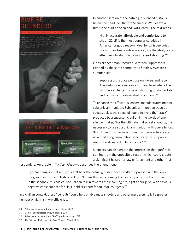## NCERS





In another section of the catalog, a silenced pistol is below the headline "Rimfire Silencers: We Believe a Rimfire Should be Seen and Not Heard." The text reads:

Highly accurate, affordable and comfortable to shoot, 22 LR is the most popular cartridge in America for good reason. Ideal for whisper-quiet use with an AAC rimfire silencer, it's the ideal, costeffective introduction to suppressed shooting."34

Or as silencer manufacturer Gemtech Suppressors (owned by the same company as Smith & Wesson) summarizes:

Suppressors reduce percussion, noise, and recoil. This reduction results in a comfort level where the shooter can better focus on shooting fundamentals and achieve consistent shot placement.<sup>35</sup>

To enhance the effect of silencers, manufacturers market subsonic ammunition. Subsonic ammunition travels at speeds below the speed of sound to avoid the "crack" produced by a supersonic bullet. In the words of one silencer maker, "For the ultimate in discreet shooting, it is necessary to use subsonic ammunition with your silenced 9mm Luger host. Some ammunition manufacturers are now marketing ammunition specifically for suppressed use that is designed to be subsonic."36

Silencers can also create the impression that gunfire is coming from the opposite direction which could create a significant hazard for law enforcement and other first

responders. An article in *Tactical Weapons* describes the phenomenon:

If you're being shot at and you can't hear the actual gunshot because it's suppressed and the only thing you hear is the ballistic crack, you'll think the fire is coming from exactly opposite from where it is. In the sandbox, this has caused Taliban to run towards the incoming fire, right at our guys, with obvious negative consequences for Hajii (soldiers' term for an Iraqi insurgent).<sup>37</sup>

In a civilian context, these "benefits" could help enable mass shooters and other murderers to kill a greater number of victims more efficiently.

- 34 Advanced Armament Corp. product catalog, 2019.
- 35 Gemtech Suppressors product catalog, 2019.
- 36 Advanced Armament Corp. (AAC), product catalog, 2019.
- 37 The Science of Silencers," *Tactical Weapons*, March 2011.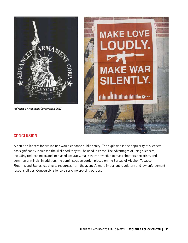

*Advanced Armament Corporation 2017*



### **CONCLUSION**

A ban on silencers for civilian use would enhance public safety. The explosion in the popularity of silencers has significantly increased the likelihood they will be used in crime. The advantages of using silencers, including reduced noise and increased accuracy, make them attractive to mass shooters, terrorists, and common criminals. In addition, the administrative burden placed on the Bureau of Alcohol, Tobacco, Firearms and Explosives diverts resources from the agency's more important regulatory and law enforcement responsibilities. Conversely, silencers serve no sporting purpose.